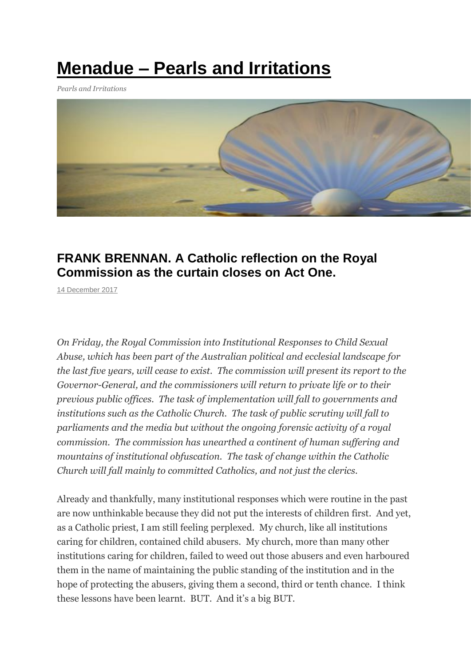## **Menadue – Pearls and [Irritations](https://johnmenadue.com/)**

*Pearls and Irritations*



## **FRANK BRENNAN. A Catholic reflection on the Royal Commission as the curtain closes on Act One.**

[14 December 2017](http://johnmenadue.com/frank-brennan-a-catholic-reflection-on-the-royal-commission-as-the-curtain-closes-on-act-one/)

*On Friday, the Royal Commission into Institutional Responses to Child Sexual Abuse, which has been part of the Australian political and ecclesial landscape for the last five years, will cease to exist. The commission will present its report to the Governor-General, and the commissioners will return to private life or to their previous public offices. The task of implementation will fall to governments and institutions such as the Catholic Church. The task of public scrutiny will fall to parliaments and the media but without the ongoing forensic activity of a royal commission. The commission has unearthed a continent of human suffering and mountains of institutional obfuscation. The task of change within the Catholic Church will fall mainly to committed Catholics, and not just the clerics.*

Already and thankfully, many institutional responses which were routine in the past are now unthinkable because they did not put the interests of children first. And yet, as a Catholic priest, I am still feeling perplexed. My church, like all institutions caring for children, contained child abusers. My church, more than many other institutions caring for children, failed to weed out those abusers and even harboured them in the name of maintaining the public standing of the institution and in the hope of protecting the abusers, giving them a second, third or tenth chance. I think these lessons have been learnt. BUT. And it's a big BUT.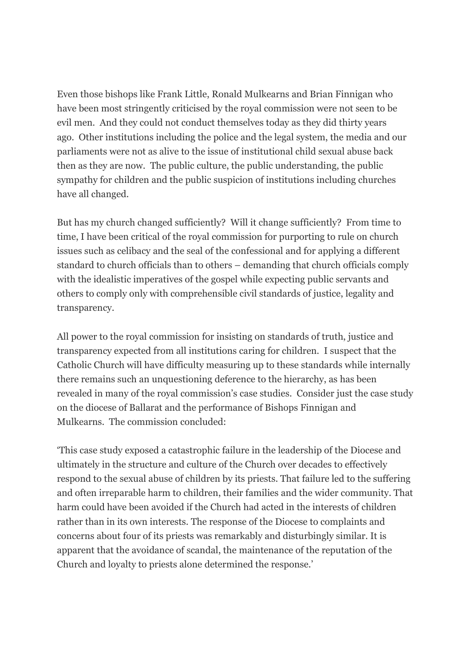Even those bishops like Frank Little, Ronald Mulkearns and Brian Finnigan who have been most stringently criticised by the royal commission were not seen to be evil men. And they could not conduct themselves today as they did thirty years ago. Other institutions including the police and the legal system, the media and our parliaments were not as alive to the issue of institutional child sexual abuse back then as they are now. The public culture, the public understanding, the public sympathy for children and the public suspicion of institutions including churches have all changed.

But has my church changed sufficiently? Will it change sufficiently? From time to time, I have been critical of the royal commission for purporting to rule on church issues such as celibacy and the seal of the confessional and for applying a different standard to church officials than to others – demanding that church officials comply with the idealistic imperatives of the gospel while expecting public servants and others to comply only with comprehensible civil standards of justice, legality and transparency.

All power to the royal commission for insisting on standards of truth, justice and transparency expected from all institutions caring for children. I suspect that the Catholic Church will have difficulty measuring up to these standards while internally there remains such an unquestioning deference to the hierarchy, as has been revealed in many of the royal commission's case studies. Consider just the case study on the diocese of Ballarat and the performance of Bishops Finnigan and Mulkearns. The commission concluded:

'This case study exposed a catastrophic failure in the leadership of the Diocese and ultimately in the structure and culture of the Church over decades to effectively respond to the sexual abuse of children by its priests. That failure led to the suffering and often irreparable harm to children, their families and the wider community. That harm could have been avoided if the Church had acted in the interests of children rather than in its own interests. The response of the Diocese to complaints and concerns about four of its priests was remarkably and disturbingly similar. It is apparent that the avoidance of scandal, the maintenance of the reputation of the Church and loyalty to priests alone determined the response.'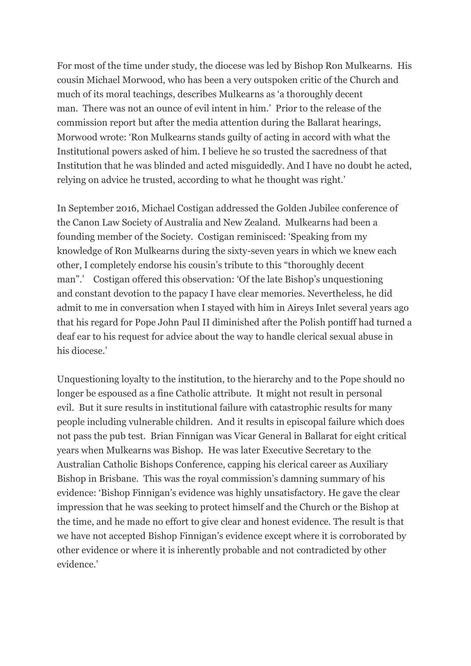For most of the time under study, the diocese was led by Bishop Ron Mulkearns. His cousin Michael Morwood, who has been a very outspoken critic of the Church and much of its moral teachings, describes Mulkearns as 'a thoroughly decent man. There was not an ounce of evil intent in him.' Prior to the release of the commission report but after the media attention during the Ballarat hearings, Morwood wrote: 'Ron Mulkearns stands guilty of acting in accord with what the Institutional powers asked of him. I believe he so trusted the sacredness of that Institution that he was blinded and acted misguidedly. And I have no doubt he acted, relying on advice he trusted, according to what he thought was right.'

In September 2016, Michael Costigan addressed the Golden Jubilee conference of the Canon Law Society of Australia and New Zealand. Mulkearns had been a founding member of the Society. Costigan reminisced: 'Speaking from my knowledge of Ron Mulkearns during the sixty-seven years in which we knew each other, I completely endorse his cousin's tribute to this "thoroughly decent man".' Costigan offered this observation: 'Of the late Bishop's unquestioning and constant devotion to the papacy I have clear memories. Nevertheless, he did admit to me in conversation when I stayed with him in Aireys Inlet several years ago that his regard for Pope John Paul II diminished after the Polish pontiff had turned a deaf ear to his request for advice about the way to handle clerical sexual abuse in his diocese.'

Unquestioning loyalty to the institution, to the hierarchy and to the Pope should no longer be espoused as a fine Catholic attribute. It might not result in personal evil. But it sure results in institutional failure with catastrophic results for many people including vulnerable children. And it results in episcopal failure which does not pass the pub test. Brian Finnigan was Vicar General in Ballarat for eight critical years when Mulkearns was Bishop. He was later Executive Secretary to the Australian Catholic Bishops Conference, capping his clerical career as Auxiliary Bishop in Brisbane. This was the royal commission's damning summary of his evidence: 'Bishop Finnigan's evidence was highly unsatisfactory. He gave the clear impression that he was seeking to protect himself and the Church or the Bishop at the time, and he made no effort to give clear and honest evidence. The result is that we have not accepted Bishop Finnigan's evidence except where it is corroborated by other evidence or where it is inherently probable and not contradicted by other evidence.'